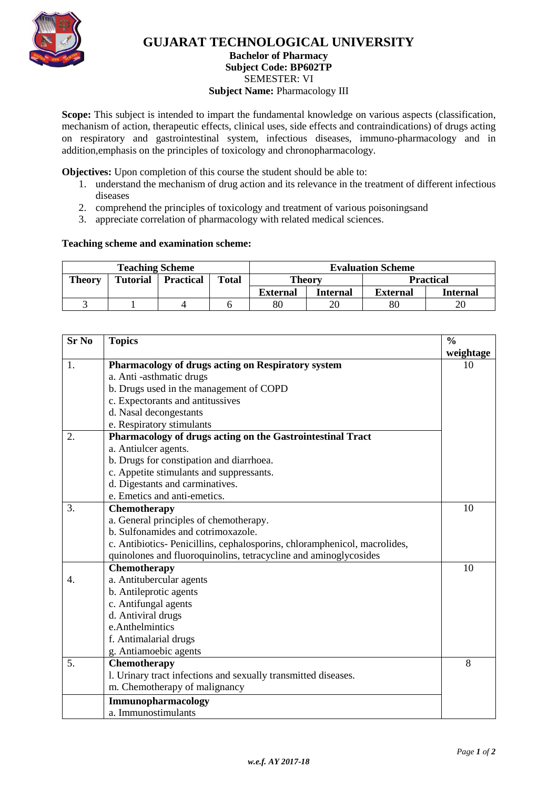

# **GUJARAT TECHNOLOGICAL UNIVERSITY**

## **Bachelor of Pharmacy Subject Code: [BP602TP](javascript:PopupCenter_upload()** SEMESTER: VI **Subject Name:** Pharmacology III

**Scope:** This subject is intended to impart the fundamental knowledge on various aspects (classification, mechanism of action, therapeutic effects, clinical uses, side effects and contraindications) of drugs acting on respiratory and gastrointestinal system, infectious diseases, immuno-pharmacology and in addition,emphasis on the principles of toxicology and chronopharmacology.

**Objectives:** Upon completion of this course the student should be able to:

- 1. understand the mechanism of drug action and its relevance in the treatment of different infectious diseases
- 2. comprehend the principles of toxicology and treatment of various poisoningsand
- 3. appreciate correlation of pharmacology with related medical sciences.

## **Teaching scheme and examination scheme:**

| <b>Teaching Scheme</b> |                 |                  |              | <b>Evaluation Scheme</b> |                 |                 |                  |
|------------------------|-----------------|------------------|--------------|--------------------------|-----------------|-----------------|------------------|
| <b>Theory</b>          | <b>Tutorial</b> | <b>Practical</b> | <b>Total</b> | <b>Theory</b>            |                 |                 | <b>Practical</b> |
|                        |                 |                  |              | <b>External</b>          | <b>Internal</b> | <b>External</b> | Internal         |
|                        |                 |                  |              | 80                       | 20              | 80              | 20               |

| <b>Sr No</b> | <b>Topics</b>                                                             | $\frac{0}{0}$ |
|--------------|---------------------------------------------------------------------------|---------------|
|              |                                                                           | weightage     |
| 1.           | Pharmacology of drugs acting on Respiratory system                        | 10            |
|              | a. Anti-asthmatic drugs                                                   |               |
|              | b. Drugs used in the management of COPD                                   |               |
|              | c. Expectorants and antitussives                                          |               |
|              | d. Nasal decongestants                                                    |               |
|              | e. Respiratory stimulants                                                 |               |
| 2.           | Pharmacology of drugs acting on the Gastrointestinal Tract                |               |
|              | a. Antiulcer agents.                                                      |               |
|              | b. Drugs for constipation and diarrhoea.                                  |               |
|              | c. Appetite stimulants and suppressants.                                  |               |
|              | d. Digestants and carminatives.                                           |               |
|              | e. Emetics and anti-emetics.                                              |               |
| 3.           | Chemotherapy                                                              | 10            |
|              | a. General principles of chemotherapy.                                    |               |
|              | b. Sulfonamides and cotrimoxazole.                                        |               |
|              | c. Antibiotics- Penicillins, cephalosporins, chloramphenicol, macrolides, |               |
|              | quinolones and fluoroquinolins, tetracycline and aminoglycosides          |               |
|              | Chemotherapy                                                              | 10            |
| 4.           | a. Antitubercular agents                                                  |               |
|              | b. Antileprotic agents                                                    |               |
|              | c. Antifungal agents                                                      |               |
|              | d. Antiviral drugs                                                        |               |
|              | e.Anthelmintics                                                           |               |
|              | f. Antimalarial drugs                                                     |               |
|              | g. Antiamoebic agents                                                     |               |
| 5.           | Chemotherapy                                                              | 8             |
|              | 1. Urinary tract infections and sexually transmitted diseases.            |               |
|              | m. Chemotherapy of malignancy                                             |               |
|              | Immunopharmacology                                                        |               |
|              | a. Immunostimulants                                                       |               |